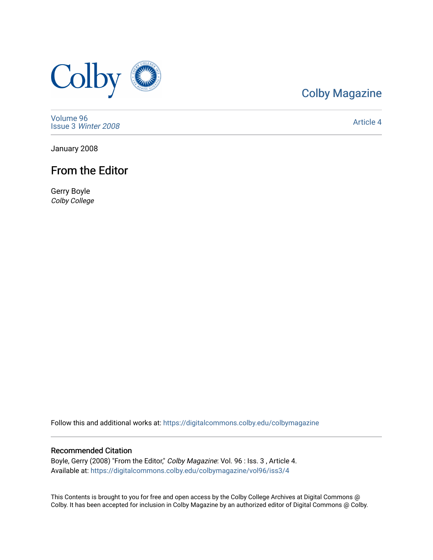

## [Colby Magazine](https://digitalcommons.colby.edu/colbymagazine)

[Volume 96](https://digitalcommons.colby.edu/colbymagazine/vol96) Issue 3 [Winter 2008](https://digitalcommons.colby.edu/colbymagazine/vol96/iss3) 

[Article 4](https://digitalcommons.colby.edu/colbymagazine/vol96/iss3/4) 

January 2008

## From the Editor

Gerry Boyle Colby College

Follow this and additional works at: [https://digitalcommons.colby.edu/colbymagazine](https://digitalcommons.colby.edu/colbymagazine?utm_source=digitalcommons.colby.edu%2Fcolbymagazine%2Fvol96%2Fiss3%2F4&utm_medium=PDF&utm_campaign=PDFCoverPages)

### Recommended Citation

Boyle, Gerry (2008) "From the Editor," Colby Magazine: Vol. 96 : Iss. 3, Article 4. Available at: [https://digitalcommons.colby.edu/colbymagazine/vol96/iss3/4](https://digitalcommons.colby.edu/colbymagazine/vol96/iss3/4?utm_source=digitalcommons.colby.edu%2Fcolbymagazine%2Fvol96%2Fiss3%2F4&utm_medium=PDF&utm_campaign=PDFCoverPages)

This Contents is brought to you for free and open access by the Colby College Archives at Digital Commons @ Colby. It has been accepted for inclusion in Colby Magazine by an authorized editor of Digital Commons @ Colby.